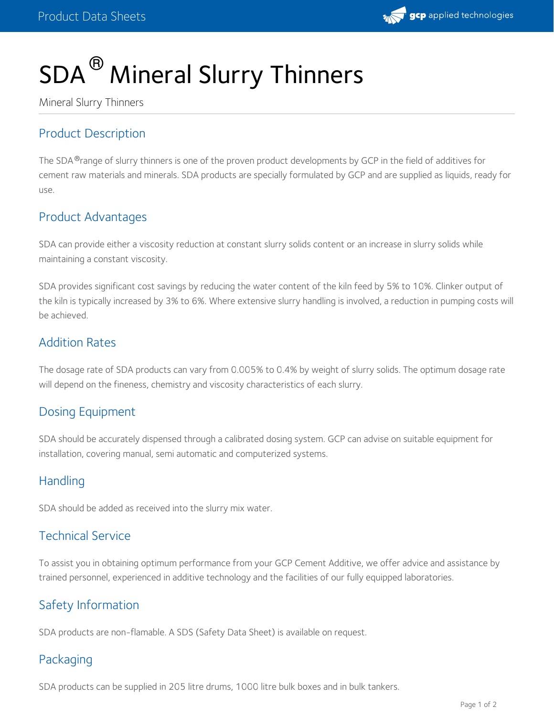# SDA<sup>®</sup> Mineral Slurry Thinners

Mineral Slurry Thinners

# Product Description

The SDA ®range of slurry thinners is one of the proven product developments by GCP in the field of additives for cement raw materials and minerals. SDA products are specially formulated by GCP and are supplied as liquids, ready for use.

# Product Advantages

SDA can provide either a viscosity reduction at constant slurry solids content or an increase in slurry solids while maintaining a constant viscosity.

SDA provides significant cost savings by reducing the water content of the kiln feed by 5% to 10%. Clinker output of the kiln is typically increased by 3% to 6%. Where extensive slurry handling is involved, a reduction in pumping costs will be achieved.

#### Addition Rates

The dosage rate of SDA products can vary from 0.005% to 0.4% by weight of slurry solids. The optimum dosage rate will depend on the fineness, chemistry and viscosity characteristics of each slurry.

# Dosing Equipment

SDA should be accurately dispensed through a calibrated dosing system. GCP can advise on suitable equipment for installation, covering manual, semi automatic and computerized systems.

#### Handling

SDA should be added as received into the slurry mix water.

# Technical Service

To assist you in obtaining optimum performance from your GCP Cement Additive, we offer advice and assistance by trained personnel, experienced in additive technology and the facilities of our fully equipped laboratories.

# Safety Information

SDA products are non-flamable. A SDS (Safety Data Sheet) is available on request.

#### Packaging

SDA products can be supplied in 205 litre drums, 1000 litre bulk boxes and in bulk tankers.